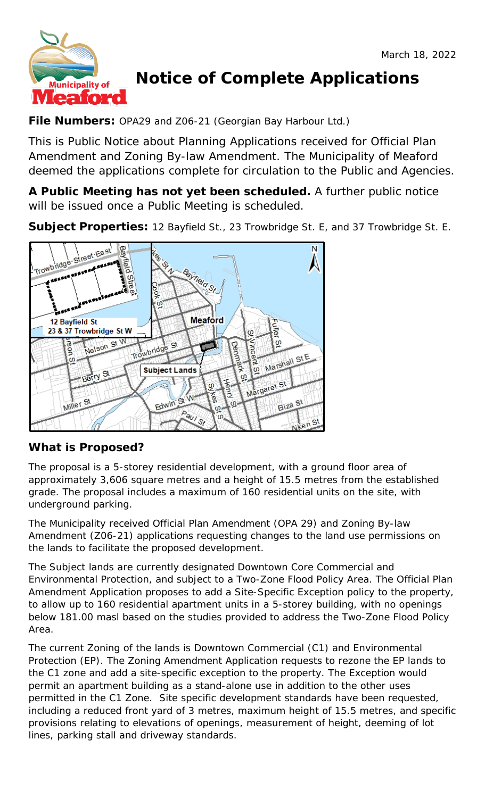

# **Notice of Complete Applications**

# **File Numbers:** OPA29 and Z06-21 (Georgian Bay Harbour Ltd.)

This is Public Notice about Planning Applications received for Official Plan Amendment and Zoning By-law Amendment. The Municipality of Meaford deemed the applications complete for circulation to the Public and Agencies.

**A Public Meeting has not yet been scheduled.** A further public notice will be issued once a Public Meeting is scheduled.

**Subject Properties:** 12 Bayfield St., 23 Trowbridge St. E, and 37 Trowbridge St. E.



## **What is Proposed?**

The proposal is a 5-storey residential development, with a ground floor area of approximately 3,606 square metres and a height of 15.5 metres from the established grade. The proposal includes a maximum of 160 residential units on the site, with underground parking.

The Municipality received Official Plan Amendment (OPA 29) and Zoning By-law Amendment (Z06-21) applications requesting changes to the land use permissions on the lands to facilitate the proposed development.

The Subject lands are currently designated Downtown Core Commercial and Environmental Protection, and subject to a Two-Zone Flood Policy Area. The Official Plan Amendment Application proposes to add a Site-Specific Exception policy to the property, to allow up to 160 residential apartment units in a 5-storey building, with no openings below 181.00 masl based on the studies provided to address the Two-Zone Flood Policy Area.

The current Zoning of the lands is Downtown Commercial (C1) and Environmental Protection (EP). The Zoning Amendment Application requests to rezone the EP lands to the C1 zone and add a site-specific exception to the property. The Exception would permit an apartment building as a stand-alone use in addition to the other uses permitted in the C1 Zone. Site specific development standards have been requested, including a reduced front yard of 3 metres, maximum height of 15.5 metres, and specific provisions relating to elevations of openings, measurement of height, deeming of lot lines, parking stall and driveway standards.